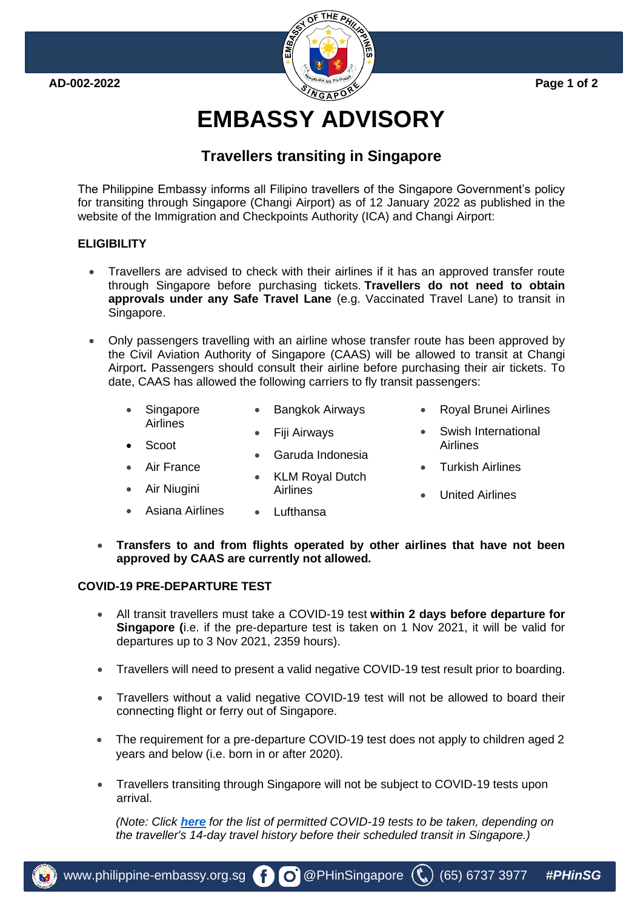

# **EMBASSY ADVISORY**

# **Travellers transiting in Singapore**

The Philippine Embassy informs all Filipino travellers of the Singapore Government's policy for transiting through Singapore (Changi Airport) as of 12 January 2022 as published in the website of the Immigration and Checkpoints Authority (ICA) and Changi Airport:

### **ELIGIBILITY**

- Travellers are advised to check with their airlines if it has an approved transfer route through Singapore before purchasing tickets. **Travellers do not need to obtain approvals under any Safe Travel Lane** (e.g. Vaccinated Travel Lane) to transit in Singapore.
- Only passengers travelling with an airline whose transfer route has been approved by the Civil Aviation Authority of Singapore (CAAS) will be allowed to transit at Changi Airport**.** Passengers should consult their airline before purchasing their air tickets. To date, CAAS has allowed the following carriers to fly transit passengers:
	- Singapore Airlines • Bangkok Airways • Royal Brunei Airlines • Swish International
		- Fiji Airways
			- Garuda Indonesia

Airlines

- **KLM Royal Dutch**
- Turkish Airlines

Airlines

- United Airlines
- Asiana Airlines • Lufthansa
- **Transfers to and from flights operated by other airlines that have not been approved by CAAS are currently not allowed.**

#### **COVID-19 PRE-DEPARTURE TEST**

• Scoot

Air France

• Air Niugini

- All transit travellers must take a COVID-19 test **within 2 days before departure for Singapore (**i.e. if the pre-departure test is taken on 1 Nov 2021, it will be valid for departures up to 3 Nov 2021, 2359 hours).
- Travellers will need to present a valid negative COVID-19 test result prior to boarding.
- Travellers without a valid negative COVID-19 test will not be allowed to board their connecting flight or ferry out of Singapore.
- The requirement for a pre-departure COVID-19 test does not apply to children aged 2 years and below (i.e. born in or after 2020).
- Travellers transiting through Singapore will not be subject to COVID-19 tests upon arrival.

*(Note: Click [here](https://safetravel.ica.gov.sg/transit/overview) for the list of permitted COVID-19 tests to be taken, depending on the traveller's 14-day travel history before their scheduled transit in Singapore.)*